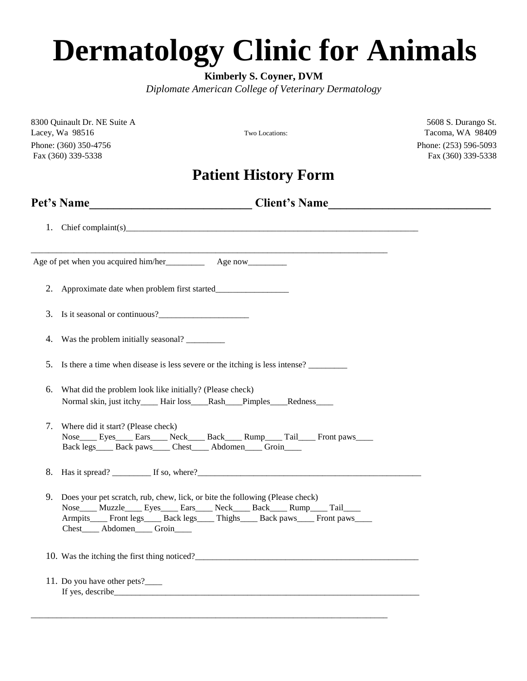## **Dermatology Clinic for Animals**

**Kimberly S. Coyner, DVM** 

*Diplomate American College of Veterinary Dermatology* 

8300 Quinault Dr. NE Suite A 5608 S. Durango St. Lacey, Wa 98516 Two Locations: Tacoma, WA 98409 Phone: (360) 350-4756 Phone: (253) 596-5093 Fax (360) 339-5338 Fax (360) 339-5338

## **Patient History Form**

|    | Pet's Name__________________________________Client's Name________________________                                                                                                                                                                                                   |
|----|-------------------------------------------------------------------------------------------------------------------------------------------------------------------------------------------------------------------------------------------------------------------------------------|
|    | 1. Chief complaint(s)                                                                                                                                                                                                                                                               |
|    |                                                                                                                                                                                                                                                                                     |
|    | 2. Approximate date when problem first started___________________________________                                                                                                                                                                                                   |
| 3. |                                                                                                                                                                                                                                                                                     |
| 4. | Was the problem initially seasonal?                                                                                                                                                                                                                                                 |
| 5. | Is there a time when disease is less severe or the itching is less intense?                                                                                                                                                                                                         |
| 6. | What did the problem look like initially? (Please check)<br>Normal skin, just itchy_____Hair loss____Rash___Pimples____Redness_____                                                                                                                                                 |
| 7. | Where did it start? (Please check)<br>Nose Eyes Ears Neck Back Rump Tail Front paws<br>Back legs_____ Back paws_____ Chest_____ Abdomen_____ Groin____                                                                                                                              |
|    |                                                                                                                                                                                                                                                                                     |
| 9. | Does your pet scratch, rub, chew, lick, or bite the following (Please check)<br>Nose____ Muzzle____ Eyes____ Ears____ Neck____ Back____ Rump____ Tail____<br>Armpits____ Front legs____ Back legs____ Thighs____ Back paws____ Front paws____<br>Chest_____ Abdomen_____ Groin_____ |
|    |                                                                                                                                                                                                                                                                                     |
|    | 11. Do you have other pets?_____                                                                                                                                                                                                                                                    |